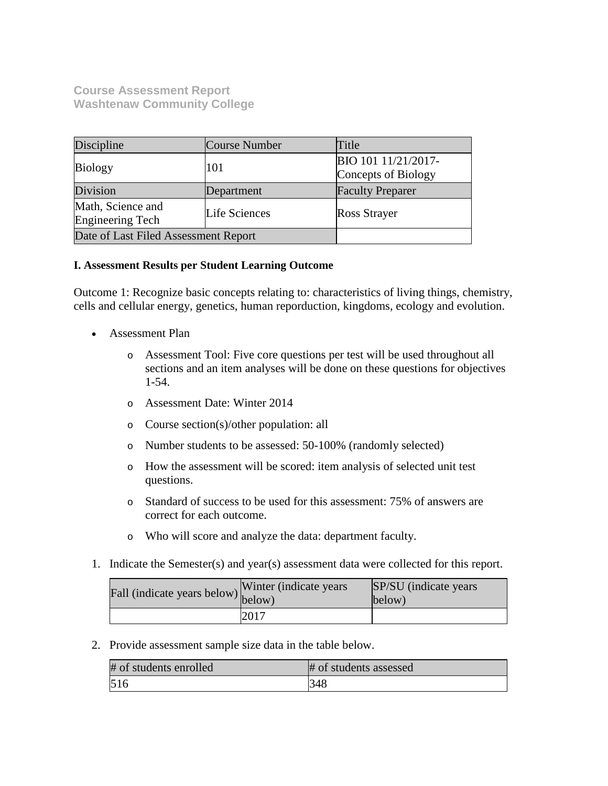**Course Assessment Report Washtenaw Community College**

| Discipline                                   | Course Number | Title                                      |
|----------------------------------------------|---------------|--------------------------------------------|
| <b>Biology</b>                               | 101           | BIO 101 11/21/2017-<br>Concepts of Biology |
| Division                                     | Department    | <b>Faculty Preparer</b>                    |
| Math, Science and<br><b>Engineering Tech</b> | Life Sciences | <b>Ross Strayer</b>                        |
| Date of Last Filed Assessment Report         |               |                                            |

# **I. Assessment Results per Student Learning Outcome**

Outcome 1: Recognize basic concepts relating to: characteristics of living things, chemistry, cells and cellular energy, genetics, human reporduction, kingdoms, ecology and evolution.

- Assessment Plan
	- o Assessment Tool: Five core questions per test will be used throughout all sections and an item analyses will be done on these questions for objectives 1-54.
	- o Assessment Date: Winter 2014
	- o Course section(s)/other population: all
	- o Number students to be assessed: 50-100% (randomly selected)
	- o How the assessment will be scored: item analysis of selected unit test questions.
	- o Standard of success to be used for this assessment: 75% of answers are correct for each outcome.
	- o Who will score and analyze the data: department faculty.
- 1. Indicate the Semester(s) and year(s) assessment data were collected for this report.

| Fall (indicate years below) below) | Winter (indicate years) | SP/SU (indicate years)<br>below) |
|------------------------------------|-------------------------|----------------------------------|
|                                    | 2017                    |                                  |

| # of students enrolled | # of students assessed |
|------------------------|------------------------|
| 516                    | 348                    |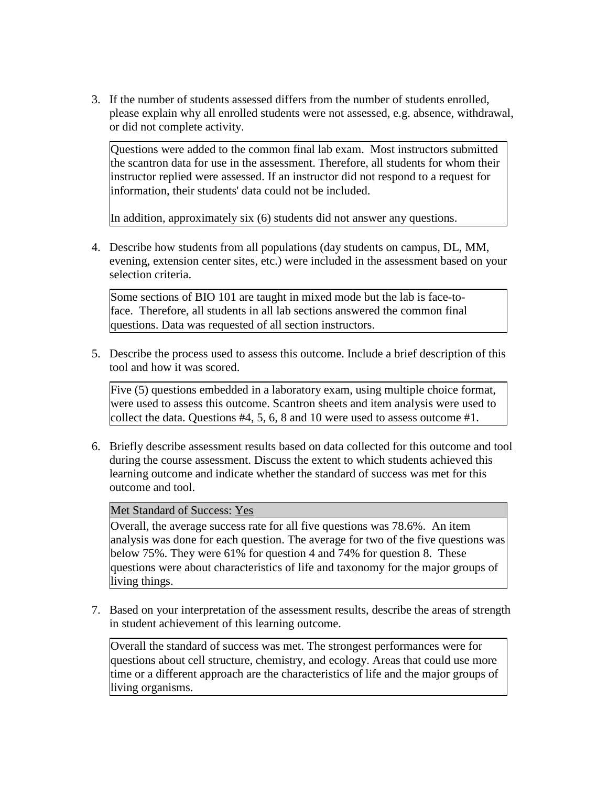Questions were added to the common final lab exam. Most instructors submitted the scantron data for use in the assessment. Therefore, all students for whom their instructor replied were assessed. If an instructor did not respond to a request for information, their students' data could not be included.

In addition, approximately six (6) students did not answer any questions.

4. Describe how students from all populations (day students on campus, DL, MM, evening, extension center sites, etc.) were included in the assessment based on your selection criteria.

Some sections of BIO 101 are taught in mixed mode but the lab is face-toface. Therefore, all students in all lab sections answered the common final questions. Data was requested of all section instructors.

5. Describe the process used to assess this outcome. Include a brief description of this tool and how it was scored.

Five (5) questions embedded in a laboratory exam, using multiple choice format, were used to assess this outcome. Scantron sheets and item analysis were used to collect the data. Questions #4, 5, 6, 8 and 10 were used to assess outcome #1.

6. Briefly describe assessment results based on data collected for this outcome and tool during the course assessment. Discuss the extent to which students achieved this learning outcome and indicate whether the standard of success was met for this outcome and tool.

Met Standard of Success: Yes

Overall, the average success rate for all five questions was 78.6%. An item analysis was done for each question. The average for two of the five questions was below 75%. They were 61% for question 4 and 74% for question 8. These questions were about characteristics of life and taxonomy for the major groups of living things.

7. Based on your interpretation of the assessment results, describe the areas of strength in student achievement of this learning outcome.

Overall the standard of success was met. The strongest performances were for questions about cell structure, chemistry, and ecology. Areas that could use more time or a different approach are the characteristics of life and the major groups of living organisms.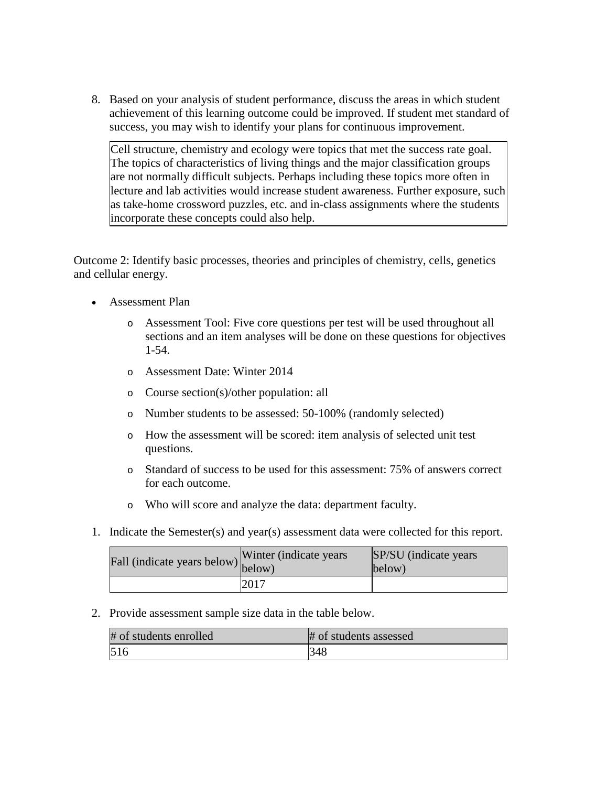8. Based on your analysis of student performance, discuss the areas in which student achievement of this learning outcome could be improved. If student met standard of success, you may wish to identify your plans for continuous improvement.

Cell structure, chemistry and ecology were topics that met the success rate goal. The topics of characteristics of living things and the major classification groups are not normally difficult subjects. Perhaps including these topics more often in lecture and lab activities would increase student awareness. Further exposure, such as take-home crossword puzzles, etc. and in-class assignments where the students incorporate these concepts could also help.

Outcome 2: Identify basic processes, theories and principles of chemistry, cells, genetics and cellular energy.

- Assessment Plan
	- o Assessment Tool: Five core questions per test will be used throughout all sections and an item analyses will be done on these questions for objectives 1-54.
	- o Assessment Date: Winter 2014
	- o Course section(s)/other population: all
	- o Number students to be assessed: 50-100% (randomly selected)
	- o How the assessment will be scored: item analysis of selected unit test questions.
	- o Standard of success to be used for this assessment: 75% of answers correct for each outcome.
	- o Who will score and analyze the data: department faculty.
- 1. Indicate the Semester(s) and year(s) assessment data were collected for this report.

| $\angle$ all (indicate years below) $\begin{bmatrix} 1 & 1 \\ 0 & 1 \end{bmatrix}$ | Winter (indicate years) | SP/SU (indicate years)<br>below) |
|------------------------------------------------------------------------------------|-------------------------|----------------------------------|
|                                                                                    | 2017                    |                                  |

| # of students enrolled | # of students assessed |
|------------------------|------------------------|
| 516                    | 348                    |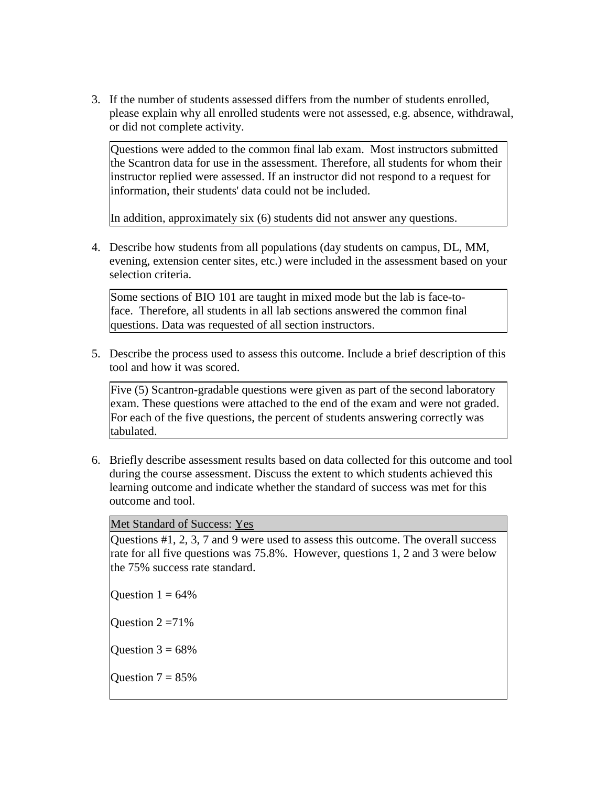Questions were added to the common final lab exam. Most instructors submitted the Scantron data for use in the assessment. Therefore, all students for whom their instructor replied were assessed. If an instructor did not respond to a request for information, their students' data could not be included.

In addition, approximately six (6) students did not answer any questions.

4. Describe how students from all populations (day students on campus, DL, MM, evening, extension center sites, etc.) were included in the assessment based on your selection criteria.

Some sections of BIO 101 are taught in mixed mode but the lab is face-toface. Therefore, all students in all lab sections answered the common final questions. Data was requested of all section instructors.

5. Describe the process used to assess this outcome. Include a brief description of this tool and how it was scored.

Five (5) Scantron-gradable questions were given as part of the second laboratory exam. These questions were attached to the end of the exam and were not graded. For each of the five questions, the percent of students answering correctly was tabulated.

6. Briefly describe assessment results based on data collected for this outcome and tool during the course assessment. Discuss the extent to which students achieved this learning outcome and indicate whether the standard of success was met for this outcome and tool.

Met Standard of Success: Yes

Questions #1, 2, 3, 7 and 9 were used to assess this outcome. The overall success rate for all five questions was 75.8%. However, questions 1, 2 and 3 were below the 75% success rate standard.

Ouestion  $1 = 64\%$ 

Ouestion  $2 = 71\%$ 

Question  $3 = 68\%$ 

Ouestion  $7 = 85%$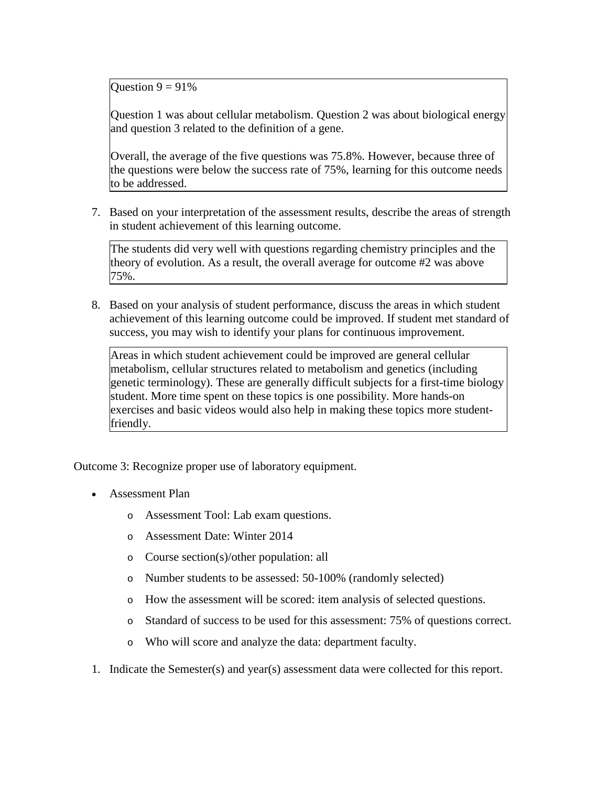Question  $9 = 91\%$ 

Question 1 was about cellular metabolism. Question 2 was about biological energy and question 3 related to the definition of a gene.

Overall, the average of the five questions was 75.8%. However, because three of the questions were below the success rate of 75%, learning for this outcome needs to be addressed.

7. Based on your interpretation of the assessment results, describe the areas of strength in student achievement of this learning outcome.

The students did very well with questions regarding chemistry principles and the theory of evolution. As a result, the overall average for outcome #2 was above 75%.

8. Based on your analysis of student performance, discuss the areas in which student achievement of this learning outcome could be improved. If student met standard of success, you may wish to identify your plans for continuous improvement.

Areas in which student achievement could be improved are general cellular metabolism, cellular structures related to metabolism and genetics (including genetic terminology). These are generally difficult subjects for a first-time biology student. More time spent on these topics is one possibility. More hands-on exercises and basic videos would also help in making these topics more studentfriendly.

Outcome 3: Recognize proper use of laboratory equipment.

- Assessment Plan
	- o Assessment Tool: Lab exam questions.
	- o Assessment Date: Winter 2014
	- o Course section(s)/other population: all
	- o Number students to be assessed: 50-100% (randomly selected)
	- o How the assessment will be scored: item analysis of selected questions.
	- o Standard of success to be used for this assessment: 75% of questions correct.
	- o Who will score and analyze the data: department faculty.
- 1. Indicate the Semester(s) and year(s) assessment data were collected for this report.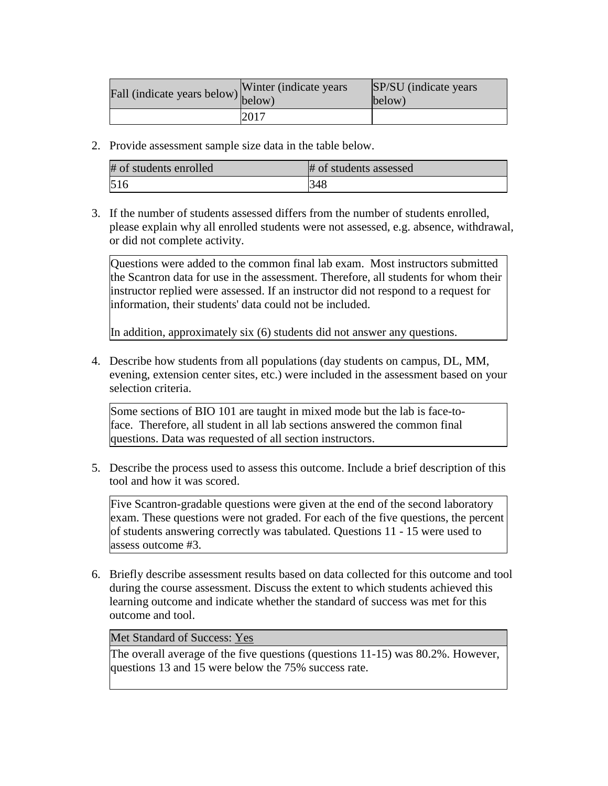| Fall (indicate years below) below) | Winter (indicate years) | SP/SU (indicate years)<br>below) |
|------------------------------------|-------------------------|----------------------------------|
|                                    | 2017                    |                                  |

2. Provide assessment sample size data in the table below.

| # of students enrolled | # of students assessed |
|------------------------|------------------------|
| 516                    | 348                    |

3. If the number of students assessed differs from the number of students enrolled, please explain why all enrolled students were not assessed, e.g. absence, withdrawal, or did not complete activity.

Questions were added to the common final lab exam. Most instructors submitted the Scantron data for use in the assessment. Therefore, all students for whom their instructor replied were assessed. If an instructor did not respond to a request for information, their students' data could not be included.

In addition, approximately six (6) students did not answer any questions.

4. Describe how students from all populations (day students on campus, DL, MM, evening, extension center sites, etc.) were included in the assessment based on your selection criteria.

Some sections of BIO 101 are taught in mixed mode but the lab is face-toface. Therefore, all student in all lab sections answered the common final questions. Data was requested of all section instructors.

5. Describe the process used to assess this outcome. Include a brief description of this tool and how it was scored.

Five Scantron-gradable questions were given at the end of the second laboratory exam. These questions were not graded. For each of the five questions, the percent of students answering correctly was tabulated. Questions 11 - 15 were used to assess outcome #3.

6. Briefly describe assessment results based on data collected for this outcome and tool during the course assessment. Discuss the extent to which students achieved this learning outcome and indicate whether the standard of success was met for this outcome and tool.

Met Standard of Success: Yes

The overall average of the five questions (questions 11-15) was 80.2%. However, questions 13 and 15 were below the 75% success rate.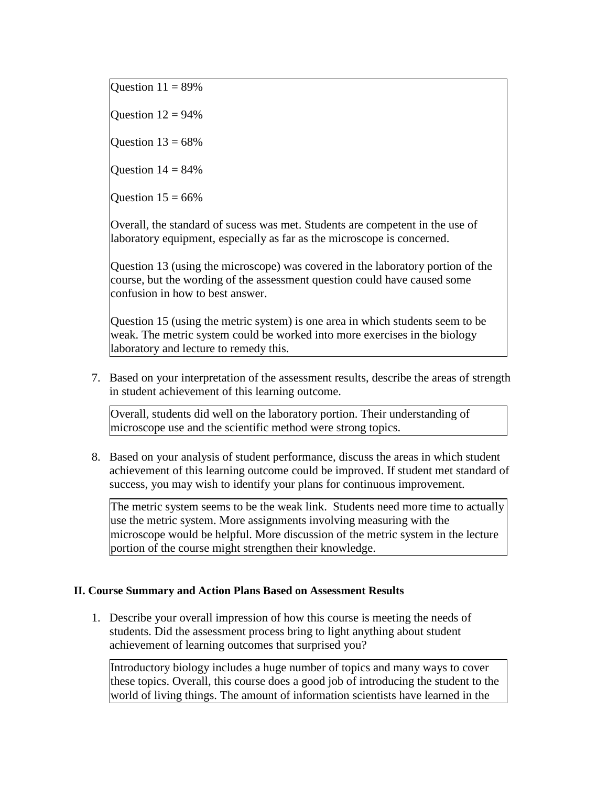Question  $11 = 89\%$ 

Ouestion  $12 = 94\%$ 

Ouestion  $13 = 68\%$ 

Ouestion  $14 = 84\%$ 

Question  $15 = 66\%$ 

Overall, the standard of sucess was met. Students are competent in the use of laboratory equipment, especially as far as the microscope is concerned.

Question 13 (using the microscope) was covered in the laboratory portion of the course, but the wording of the assessment question could have caused some confusion in how to best answer.

Question 15 (using the metric system) is one area in which students seem to be weak. The metric system could be worked into more exercises in the biology laboratory and lecture to remedy this.

7. Based on your interpretation of the assessment results, describe the areas of strength in student achievement of this learning outcome.

Overall, students did well on the laboratory portion. Their understanding of microscope use and the scientific method were strong topics.

8. Based on your analysis of student performance, discuss the areas in which student achievement of this learning outcome could be improved. If student met standard of success, you may wish to identify your plans for continuous improvement.

The metric system seems to be the weak link. Students need more time to actually use the metric system. More assignments involving measuring with the microscope would be helpful. More discussion of the metric system in the lecture portion of the course might strengthen their knowledge.

# **II. Course Summary and Action Plans Based on Assessment Results**

1. Describe your overall impression of how this course is meeting the needs of students. Did the assessment process bring to light anything about student achievement of learning outcomes that surprised you?

Introductory biology includes a huge number of topics and many ways to cover these topics. Overall, this course does a good job of introducing the student to the world of living things. The amount of information scientists have learned in the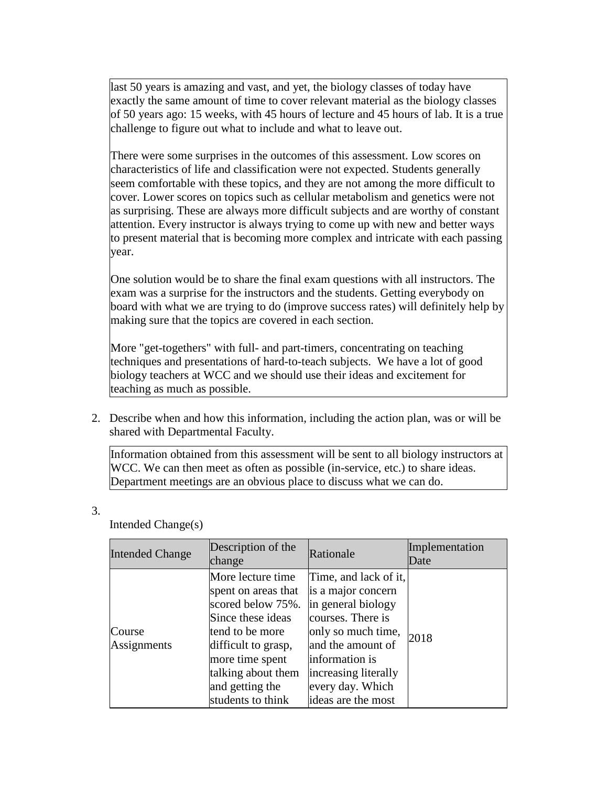last 50 years is amazing and vast, and yet, the biology classes of today have exactly the same amount of time to cover relevant material as the biology classes of 50 years ago: 15 weeks, with 45 hours of lecture and 45 hours of lab. It is a true challenge to figure out what to include and what to leave out.

There were some surprises in the outcomes of this assessment. Low scores on characteristics of life and classification were not expected. Students generally seem comfortable with these topics, and they are not among the more difficult to cover. Lower scores on topics such as cellular metabolism and genetics were not as surprising. These are always more difficult subjects and are worthy of constant attention. Every instructor is always trying to come up with new and better ways to present material that is becoming more complex and intricate with each passing year.

One solution would be to share the final exam questions with all instructors. The exam was a surprise for the instructors and the students. Getting everybody on board with what we are trying to do (improve success rates) will definitely help by making sure that the topics are covered in each section.

More "get-togethers" with full- and part-timers, concentrating on teaching techniques and presentations of hard-to-teach subjects. We have a lot of good biology teachers at WCC and we should use their ideas and excitement for teaching as much as possible.

2. Describe when and how this information, including the action plan, was or will be shared with Departmental Faculty.

Information obtained from this assessment will be sent to all biology instructors at WCC. We can then meet as often as possible (in-service, etc.) to share ideas. Department meetings are an obvious place to discuss what we can do.

| <b>Intended Change</b> | Description of the<br>change                                                                                                                                                                                  | Rationale                                                                                                                                                                                                             | Implementation<br>Date |
|------------------------|---------------------------------------------------------------------------------------------------------------------------------------------------------------------------------------------------------------|-----------------------------------------------------------------------------------------------------------------------------------------------------------------------------------------------------------------------|------------------------|
| Course<br>Assignments  | More lecture time<br>spent on areas that<br>scored below 75%.<br>Since these ideas<br>tend to be more<br>difficult to grasp,<br>more time spent<br>talking about them<br>and getting the<br>students to think | Time, and lack of it,<br>is a major concern<br>in general biology<br>courses. There is<br>only so much time,<br>and the amount of<br>information is<br>increasing literally<br>every day. Which<br>ideas are the most | 2018                   |

Intended Change(s)

3.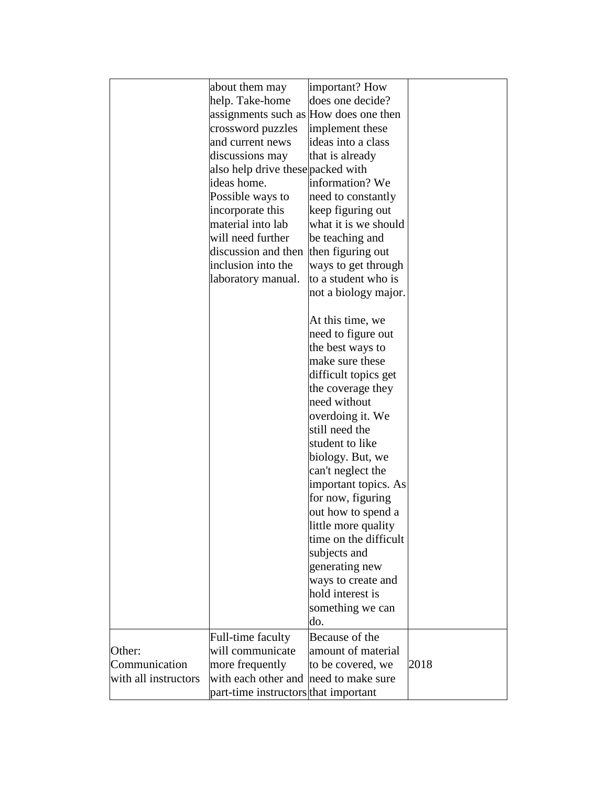|                      | about them may                        | important? How        |      |
|----------------------|---------------------------------------|-----------------------|------|
|                      | help. Take-home                       | does one decide?      |      |
|                      | assignments such as How does one then |                       |      |
|                      | crossword puzzles                     | implement these       |      |
|                      | and current news                      | ideas into a class    |      |
|                      |                                       | that is already       |      |
|                      | discussions may                       |                       |      |
|                      | also help drive these packed with     |                       |      |
|                      | ideas home.                           | information? We       |      |
|                      | Possible ways to                      | need to constantly    |      |
|                      | incorporate this                      | keep figuring out     |      |
|                      | material into lab                     | what it is we should  |      |
|                      | will need further                     | be teaching and       |      |
|                      | discussion and then                   | then figuring out     |      |
|                      | inclusion into the                    | ways to get through   |      |
|                      | laboratory manual.                    | to a student who is   |      |
|                      |                                       | not a biology major.  |      |
|                      |                                       | At this time, we      |      |
|                      |                                       | need to figure out    |      |
|                      |                                       | the best ways to      |      |
|                      |                                       | make sure these       |      |
|                      |                                       | difficult topics get  |      |
|                      |                                       | the coverage they     |      |
|                      |                                       | need without          |      |
|                      |                                       | overdoing it. We      |      |
|                      |                                       | still need the        |      |
|                      |                                       | student to like       |      |
|                      |                                       |                       |      |
|                      |                                       | biology. But, we      |      |
|                      |                                       | can't neglect the     |      |
|                      |                                       | important topics. As  |      |
|                      |                                       | for now, figuring     |      |
|                      |                                       | out how to spend a    |      |
|                      |                                       | little more quality   |      |
|                      |                                       | time on the difficult |      |
|                      |                                       | subjects and          |      |
|                      |                                       | generating new        |      |
|                      |                                       | ways to create and    |      |
|                      |                                       | hold interest is      |      |
|                      |                                       | something we can      |      |
|                      |                                       | do.                   |      |
|                      | Full-time faculty                     | Because of the        |      |
| Other:               | will communicate                      | amount of material    |      |
| Communication        | more frequently                       | to be covered, we     | 2018 |
| with all instructors | with each other and                   | need to make sure     |      |
|                      | part-time instructors that important  |                       |      |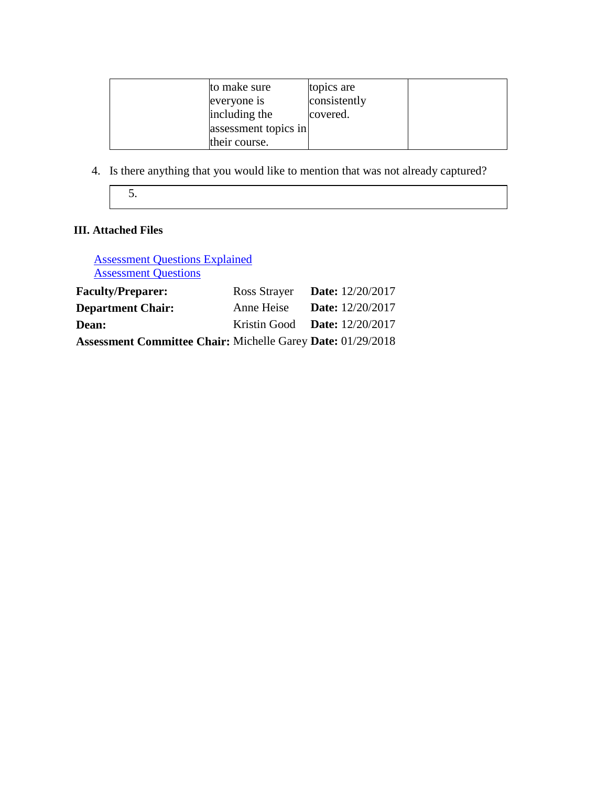| to make sure<br>everyone is           | topics are<br>consistently |  |
|---------------------------------------|----------------------------|--|
| including the<br>assessment topics in | covered.                   |  |
| their course.                         |                            |  |

4. Is there anything that you would like to mention that was not already captured?

5.

# **III. Attached Files**

Assessment Questions Explained **Assessment Questions** 

| <b>Faculty/Preparer:</b>                                           | Ross Strayer Date: $12/20/2017$        |                           |
|--------------------------------------------------------------------|----------------------------------------|---------------------------|
| <b>Department Chair:</b>                                           | Anne Heise                             | <b>Date:</b> $12/20/2017$ |
| <b>Dean:</b>                                                       | Kristin Good <b>Date:</b> $12/20/2017$ |                           |
| <b>Assessment Committee Chair: Michelle Garey Date: 01/29/2018</b> |                                        |                           |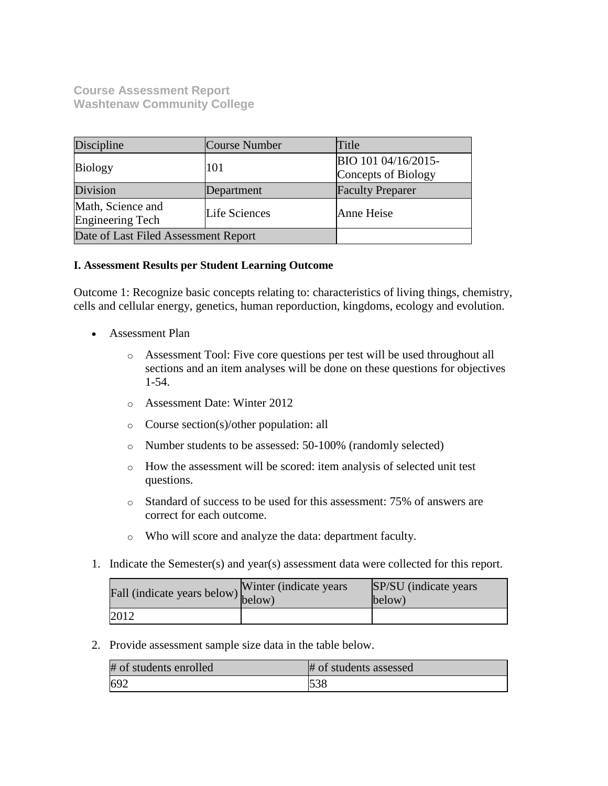**Course Assessment Report Washtenaw Community College**

| Discipline                            | Course Number        | Title                                      |
|---------------------------------------|----------------------|--------------------------------------------|
| <b>Biology</b>                        | 101                  | BIO 101 04/16/2015-<br>Concepts of Biology |
| Division                              | Department           | <b>Faculty Preparer</b>                    |
| Math, Science and<br>Engineering Tech | <b>Life Sciences</b> | Anne Heise                                 |
| Date of Last Filed Assessment Report  |                      |                                            |

# **I. Assessment Results per Student Learning Outcome**

Outcome 1: Recognize basic concepts relating to: characteristics of living things, chemistry, cells and cellular energy, genetics, human reporduction, kingdoms, ecology and evolution.

- Assessment Plan
	- o Assessment Tool: Five core questions per test will be used throughout all sections and an item analyses will be done on these questions for objectives 1-54.
	- o Assessment Date: Winter 2012
	- o Course section(s)/other population: all
	- o Number students to be assessed: 50-100% (randomly selected)
	- o How the assessment will be scored: item analysis of selected unit test questions.
	- o Standard of success to be used for this assessment: 75% of answers are correct for each outcome.
	- o Who will score and analyze the data: department faculty.
- 1. Indicate the Semester(s) and year(s) assessment data were collected for this report.

| Fall (indicate years below) below) | Winter (indicate years) | SP/SU (indicate years)<br>below) |
|------------------------------------|-------------------------|----------------------------------|
| 2012                               |                         |                                  |

| # of students enrolled | # of students assessed |
|------------------------|------------------------|
| 692                    | 538                    |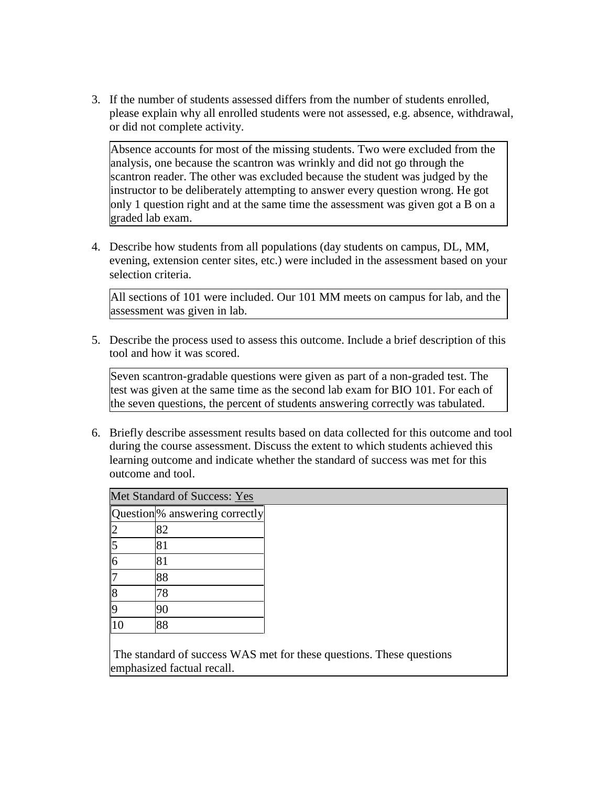Absence accounts for most of the missing students. Two were excluded from the analysis, one because the scantron was wrinkly and did not go through the scantron reader. The other was excluded because the student was judged by the instructor to be deliberately attempting to answer every question wrong. He got only 1 question right and at the same time the assessment was given got a B on a graded lab exam.

4. Describe how students from all populations (day students on campus, DL, MM, evening, extension center sites, etc.) were included in the assessment based on your selection criteria.

All sections of 101 were included. Our 101 MM meets on campus for lab, and the assessment was given in lab.

5. Describe the process used to assess this outcome. Include a brief description of this tool and how it was scored.

Seven scantron-gradable questions were given as part of a non-graded test. The test was given at the same time as the second lab exam for BIO 101. For each of the seven questions, the percent of students answering correctly was tabulated.

6. Briefly describe assessment results based on data collected for this outcome and tool during the course assessment. Discuss the extent to which students achieved this learning outcome and indicate whether the standard of success was met for this outcome and tool.

|   | Question <sup>o</sup> answering correctly |
|---|-------------------------------------------|
|   | 82                                        |
|   | 81                                        |
| б | 81                                        |
|   | 88                                        |
| 8 | 78                                        |
|   |                                           |
|   | 88                                        |

The standard of success WAS met for these questions. These questions emphasized factual recall.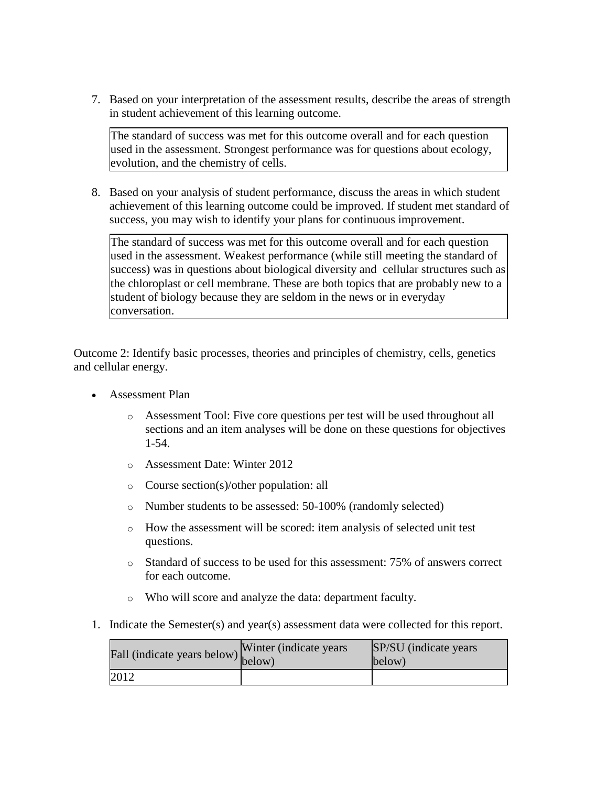7. Based on your interpretation of the assessment results, describe the areas of strength in student achievement of this learning outcome.

The standard of success was met for this outcome overall and for each question used in the assessment. Strongest performance was for questions about ecology, evolution, and the chemistry of cells.

8. Based on your analysis of student performance, discuss the areas in which student achievement of this learning outcome could be improved. If student met standard of success, you may wish to identify your plans for continuous improvement.

The standard of success was met for this outcome overall and for each question used in the assessment. Weakest performance (while still meeting the standard of success) was in questions about biological diversity and cellular structures such as the chloroplast or cell membrane. These are both topics that are probably new to a student of biology because they are seldom in the news or in everyday conversation.

Outcome 2: Identify basic processes, theories and principles of chemistry, cells, genetics and cellular energy.

- Assessment Plan
	- o Assessment Tool: Five core questions per test will be used throughout all sections and an item analyses will be done on these questions for objectives 1-54.
	- o Assessment Date: Winter 2012
	- o Course section(s)/other population: all
	- o Number students to be assessed: 50-100% (randomly selected)
	- o How the assessment will be scored: item analysis of selected unit test questions.
	- o Standard of success to be used for this assessment: 75% of answers correct for each outcome.
	- o Who will score and analyze the data: department faculty.
- 1. Indicate the Semester(s) and year(s) assessment data were collected for this report.

|      | rall (indicate years below) below) | Winter (indicate years) | SP/SU (indicate years)<br>below) |
|------|------------------------------------|-------------------------|----------------------------------|
| 2012 |                                    |                         |                                  |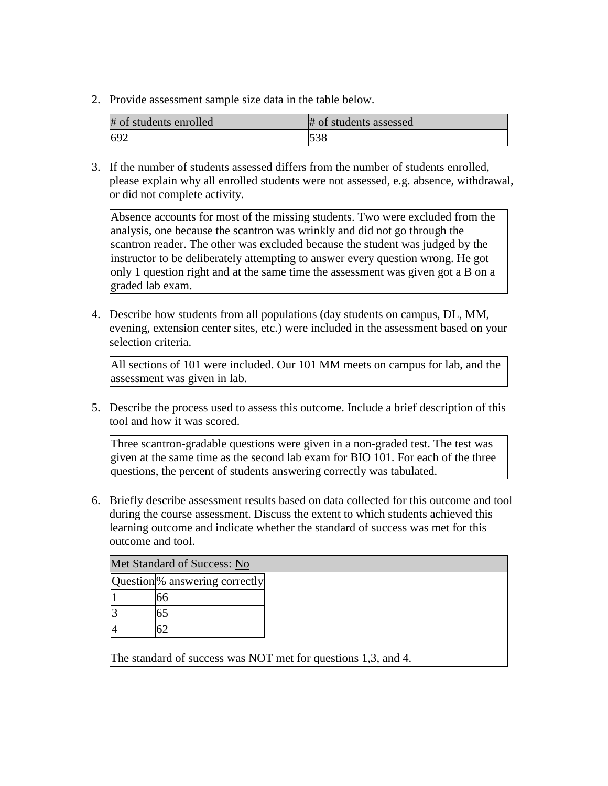2. Provide assessment sample size data in the table below.

| # of students enrolled | # of students assessed |
|------------------------|------------------------|
| 692                    | 538                    |

3. If the number of students assessed differs from the number of students enrolled, please explain why all enrolled students were not assessed, e.g. absence, withdrawal, or did not complete activity.

Absence accounts for most of the missing students. Two were excluded from the analysis, one because the scantron was wrinkly and did not go through the scantron reader. The other was excluded because the student was judged by the instructor to be deliberately attempting to answer every question wrong. He got only 1 question right and at the same time the assessment was given got a B on a graded lab exam.

4. Describe how students from all populations (day students on campus, DL, MM, evening, extension center sites, etc.) were included in the assessment based on your selection criteria.

All sections of 101 were included. Our 101 MM meets on campus for lab, and the assessment was given in lab.

5. Describe the process used to assess this outcome. Include a brief description of this tool and how it was scored.

Three scantron-gradable questions were given in a non-graded test. The test was given at the same time as the second lab exam for BIO 101. For each of the three questions, the percent of students answering correctly was tabulated.

6. Briefly describe assessment results based on data collected for this outcome and tool during the course assessment. Discuss the extent to which students achieved this learning outcome and indicate whether the standard of success was met for this outcome and tool.

| <b>Question</b> % answering correctly |
|---------------------------------------|
| რრ                                    |
|                                       |
|                                       |

The standard of success was NOT met for questions 1,3, and 4.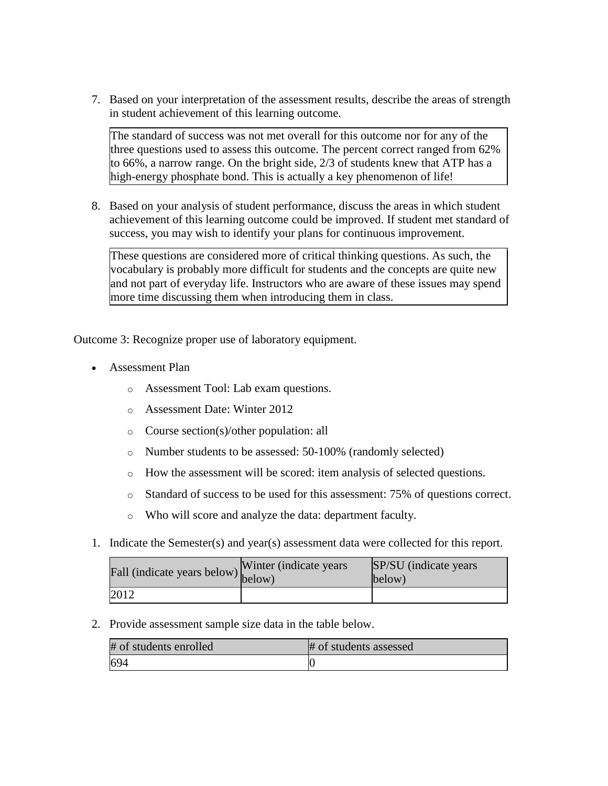7. Based on your interpretation of the assessment results, describe the areas of strength in student achievement of this learning outcome.

The standard of success was not met overall for this outcome nor for any of the three questions used to assess this outcome. The percent correct ranged from 62% to 66%, a narrow range. On the bright side, 2/3 of students knew that ATP has a high-energy phosphate bond. This is actually a key phenomenon of life!

8. Based on your analysis of student performance, discuss the areas in which student achievement of this learning outcome could be improved. If student met standard of success, you may wish to identify your plans for continuous improvement.

These questions are considered more of critical thinking questions. As such, the vocabulary is probably more difficult for students and the concepts are quite new and not part of everyday life. Instructors who are aware of these issues may spend more time discussing them when introducing them in class.

Outcome 3: Recognize proper use of laboratory equipment.

- Assessment Plan
	- o Assessment Tool: Lab exam questions.
	- o Assessment Date: Winter 2012
	- o Course section(s)/other population: all
	- o Number students to be assessed: 50-100% (randomly selected)
	- o How the assessment will be scored: item analysis of selected questions.
	- o Standard of success to be used for this assessment: 75% of questions correct.
	- o Who will score and analyze the data: department faculty.
- 1. Indicate the Semester(s) and year(s) assessment data were collected for this report.

| Fall (indicate years below) below) | Winter (indicate years) | SP/SU (indicate years)<br>below) |
|------------------------------------|-------------------------|----------------------------------|
| 2012                               |                         |                                  |

| # of students enrolled | # of students assessed |
|------------------------|------------------------|
| 694                    |                        |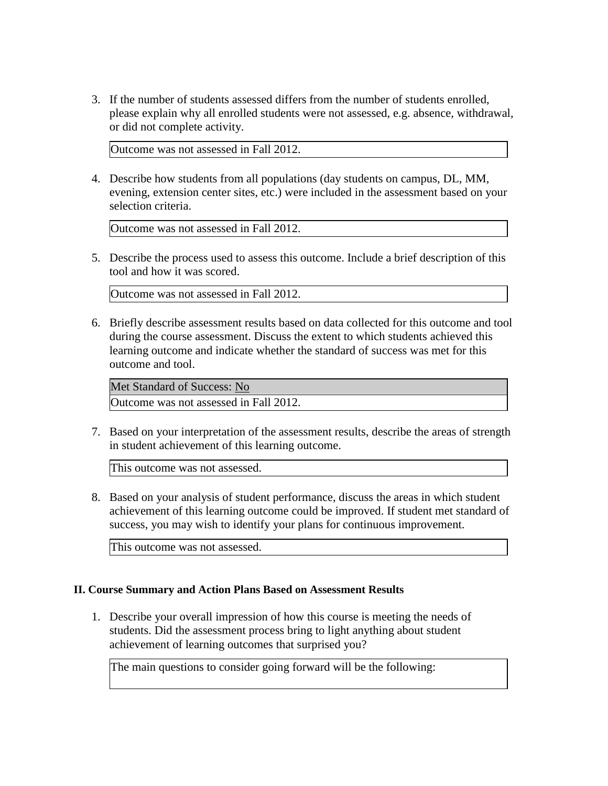Outcome was not assessed in Fall 2012.

4. Describe how students from all populations (day students on campus, DL, MM, evening, extension center sites, etc.) were included in the assessment based on your selection criteria.

Outcome was not assessed in Fall 2012.

5. Describe the process used to assess this outcome. Include a brief description of this tool and how it was scored.

Outcome was not assessed in Fall 2012.

6. Briefly describe assessment results based on data collected for this outcome and tool during the course assessment. Discuss the extent to which students achieved this learning outcome and indicate whether the standard of success was met for this outcome and tool.

Met Standard of Success: No Outcome was not assessed in Fall 2012.

7. Based on your interpretation of the assessment results, describe the areas of strength in student achievement of this learning outcome.

This outcome was not assessed.

8. Based on your analysis of student performance, discuss the areas in which student achievement of this learning outcome could be improved. If student met standard of success, you may wish to identify your plans for continuous improvement.

This outcome was not assessed.

## **II. Course Summary and Action Plans Based on Assessment Results**

1. Describe your overall impression of how this course is meeting the needs of students. Did the assessment process bring to light anything about student achievement of learning outcomes that surprised you?

The main questions to consider going forward will be the following: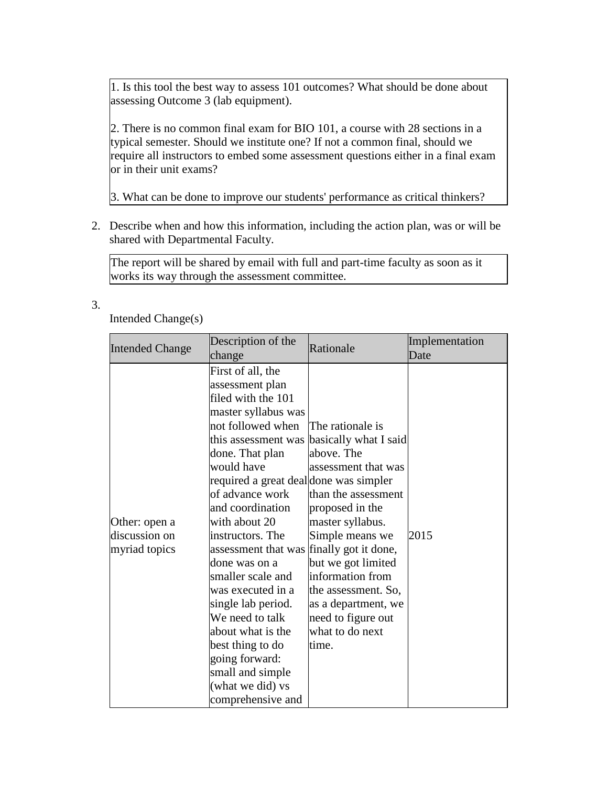1. Is this tool the best way to assess 101 outcomes? What should be done about assessing Outcome 3 (lab equipment).

2. There is no common final exam for BIO 101, a course with 28 sections in a typical semester. Should we institute one? If not a common final, should we require all instructors to embed some assessment questions either in a final exam or in their unit exams?

3. What can be done to improve our students' performance as critical thinkers?

2. Describe when and how this information, including the action plan, was or will be shared with Departmental Faculty.

The report will be shared by email with full and part-time faculty as soon as it works its way through the assessment committee.

3.

# Intended Change(s)

| <b>Intended Change</b>                          | Description of the<br>change                                                                                                                                                                                                                                                                                                                                                                                                                                                                                                            | Rationale                                                                                                                                                                                                                                                                                                 | Implementation<br>Date |
|-------------------------------------------------|-----------------------------------------------------------------------------------------------------------------------------------------------------------------------------------------------------------------------------------------------------------------------------------------------------------------------------------------------------------------------------------------------------------------------------------------------------------------------------------------------------------------------------------------|-----------------------------------------------------------------------------------------------------------------------------------------------------------------------------------------------------------------------------------------------------------------------------------------------------------|------------------------|
| Other: open a<br>discussion on<br>myriad topics | First of all, the<br>assessment plan<br>filed with the 101<br>master syllabus was<br>not followed when<br>this assessment was<br>done. That plan<br>would have<br>required a great deal done was simpler<br>of advance work<br>and coordination<br>with about 20<br>instructors. The<br>assessment that was finally got it done,<br>done was on a<br>smaller scale and<br>was executed in a<br>single lab period.<br>We need to talk<br>about what is the<br>best thing to do<br>going forward:<br>small and simple<br>(what we did) vs | The rationale is<br>basically what I said<br>above. The<br>assessment that was<br>than the assessment<br>proposed in the<br>master syllabus.<br>Simple means we<br>but we got limited<br>information from<br>the assessment. So,<br>as a department, we<br>need to figure out<br>what to do next<br>time. | 2015                   |
|                                                 | comprehensive and                                                                                                                                                                                                                                                                                                                                                                                                                                                                                                                       |                                                                                                                                                                                                                                                                                                           |                        |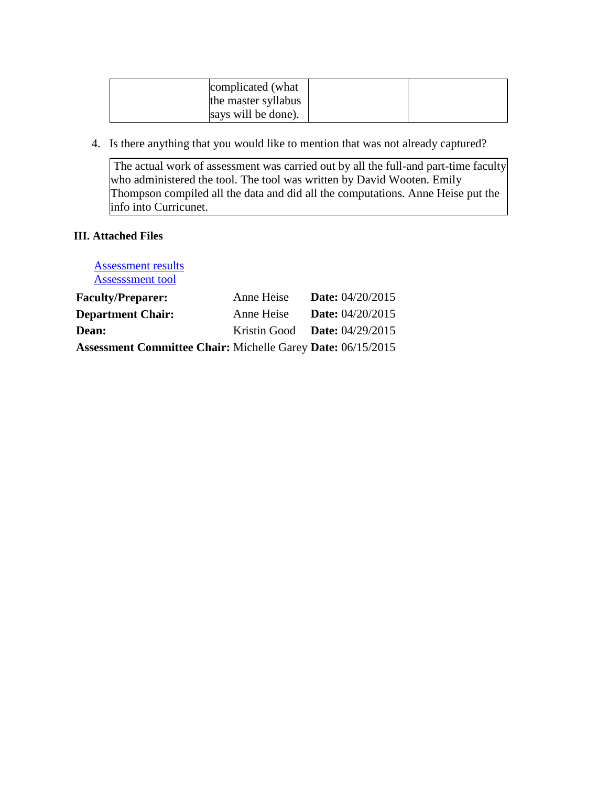| complicated (what   |  |
|---------------------|--|
| the master syllabus |  |
| says will be done). |  |

4. Is there anything that you would like to mention that was not already captured?

The actual work of assessment was carried out by all the full-and part-time faculty who administered the tool. The tool was written by David Wooten. Emily Thompson compiled all the data and did all the computations. Anne Heise put the info into Curricunet.

# **III. Attached Files**

[Assessment results](documents/Lab%20assessment%20BIO%20101_f2012%20%20NO%20Names%20version%201_4_2013.xls) [Assesssment tool](documents/BIO101AssessmentFinal.docx) **Faculty/Preparer:** Anne Heise **Date:** 04/20/2015 **Department Chair:** Anne Heise **Date:** 04/20/2015 **Dean:** Kristin Good **Date:** 04/29/2015 **Assessment Committee Chair:** Michelle Garey **Date:** 06/15/2015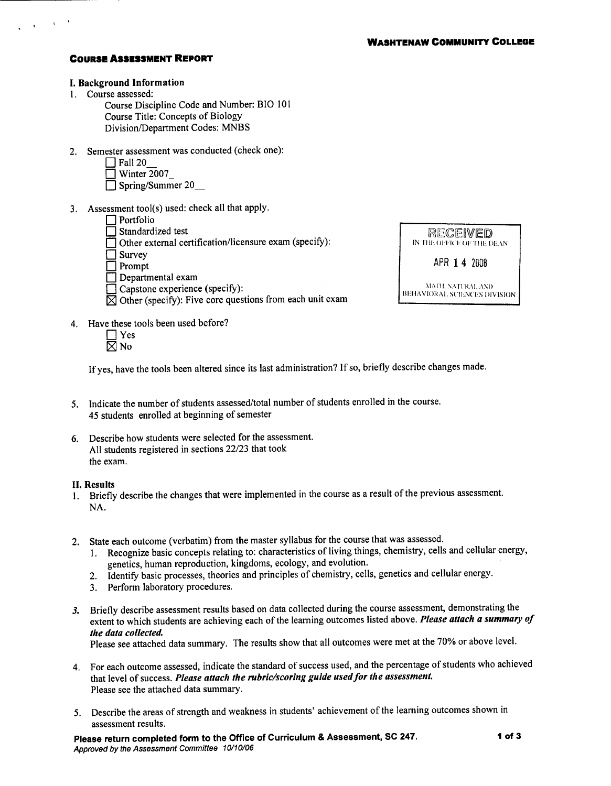#### **COURSE ASSESSMENT REPORT**

### I. Background Information

1. Course assessed:

Course Discipline Code and Number: BIO 101 Course Title: Concepts of Biology Division/Department Codes: MNBS

2. Semester assessment was conducted (check one):

| $\Box$ Fall 20     |
|--------------------|
| $\Box$ Winter 2007 |

- $\Box$  Willich 2007
- 3. Assessment tool(s) used: check all that apply.

- Portfolio<br>Standardized test
- $\overline{\Box}$  Other external certification/licensure exam (specify):
- $\Box$  Survey
- $\Box$  Prompt
- $\Box$  Departmental exam
- Capstone experience (specify):
- $\boxtimes$  Other (specify): Five core questions from each unit exam
- RECEIWED IN THE OFFICE OF THE DEAN APR 14 2008

MATH, NATURAL AND BEHAVIORAL SCIENCES DIVISION

- 4. Have these tools been used before?
	- $\Box$  Yes  $\boxtimes$  No

If yes, have the tools been altered since its last administration? If so, briefly describe changes made.

- 5. Indicate the number of students assessed/total number of students enrolled in the course. 45 students enrolled at beginning of semester
- 6. Describe how students were selected for the assessment. All students registered in sections 22/23 that took the exam.

#### **II. Results**

- 1. Briefly describe the changes that were implemented in the course as a result of the previous assessment. NA.
- 2. State each outcome (verbatim) from the master syllabus for the course that was assessed.
	- Recognize basic concepts relating to: characteristics of living things, chemistry, cells and cellular energy,  $1.$ genetics, human reproduction, kingdoms, ecology, and evolution.
	- Identify basic processes, theories and principles of chemistry, cells, genetics and cellular energy.  $2.$
	- 3. Perform laboratory procedures.
- 3. Briefly describe assessment results based on data collected during the course assessment, demonstrating the extent to which students are achieving each of the learning outcomes listed above. Please attach a summary of the data collected.

Please see attached data summary. The results show that all outcomes were met at the 70% or above level.

- 4. For each outcome assessed, indicate the standard of success used, and the percentage of students who achieved that level of success. Please attach the rubric/scoring guide used for the assessment. Please see the attached data summary.
- 5. Describe the areas of strength and weakness in students' achievement of the learning outcomes shown in assessment results.

Please return completed form to the Office of Curriculum & Assessment, SC 247. Approved by the Assessment Committee 10/10/06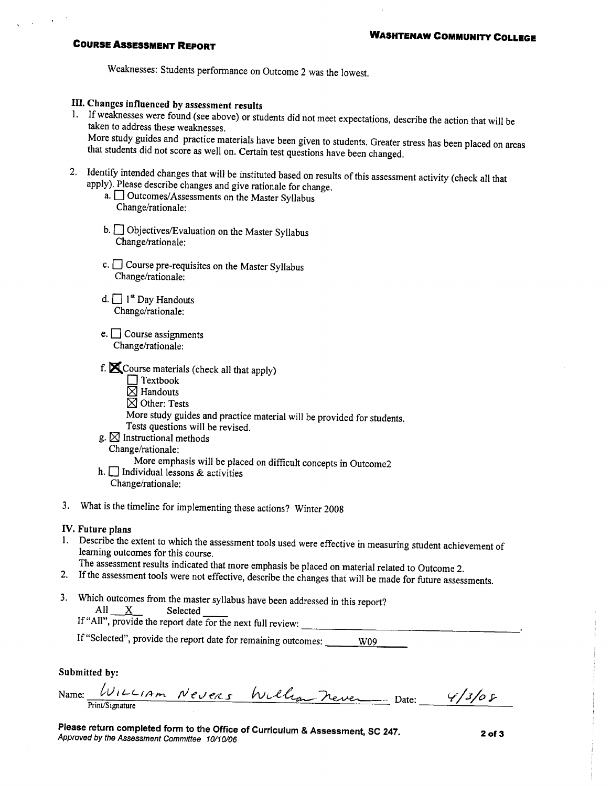## **COURSE ASSESSMENT REPORT**

Weaknesses: Students performance on Outcome 2 was the lowest.

## III. Changes influenced by assessment results

- 1. If weaknesses were found (see above) or students did not meet expectations, describe the action that will be taken to address these weaknesses. More study guides and practice materials have been given to students. Greater stress has been placed on areas that students did not score as well on. Certain test questions have been changed.
- 2. Identify intended changes that will be instituted based on results of this assessment activity (check all that apply). Please describe changes and give rationale for change.
	- a. <sup>Outcomes/Assessments on the Master Syllabus</sub></sup> Change/rationale:
	- b. <u>Jobjectives</u>/Evaluation on the Master Syllabus Change/rationale:
	- c.  $\Box$  Course pre-requisites on the Master Syllabus Change/rationale:
	- d.  $\Box$  1<sup>st</sup> Day Handouts Change/rationale:
	- e.  $\Box$  Course assignments Change/rationale:
	- f.  $\blacksquare$  Course materials (check all that apply)
		- $\Box$  Textbook
		- $\overline{\boxtimes}$  Handouts
		- $\boxtimes$  Other: Tests
		- More study guides and practice material will be provided for students.
		- Tests questions will be revised.
	- g.  $\boxtimes$  Instructional methods

# Change/rationale:

- More emphasis will be placed on difficult concepts in Outcome2
- h.  $\Box$  Individual lessons & activities
- Change/rationale:
- 3. What is the timeline for implementing these actions? Winter 2008

### IV. Future plans

1. Describe the extent to which the assessment tools used were effective in measuring student achievement of learning outcomes for this course.

The assessment results indicated that more emphasis be placed on material related to Outcome 2.

- 2. If the assessment tools were not effective, describe the changes that will be made for future assessments.
- 3. Which outcomes from the master syllabus have been addressed in this report?  $All$  $\mathbf{X}$ Selected

If "All", provide the report date for the next full review:

If "Selected", provide the report date for remaining outcomes: W09

Submitted by:

| Name: | $WILL$ $1Am$    | $Neu$ ers | Millian never | Date: |  |
|-------|-----------------|-----------|---------------|-------|--|
|       | Print/Signature |           |               |       |  |

Please return completed form to the Office of Curriculum & Assessment, SC 247. Approved by the Assessment Committee 10/10/06

 $2$  of  $3$